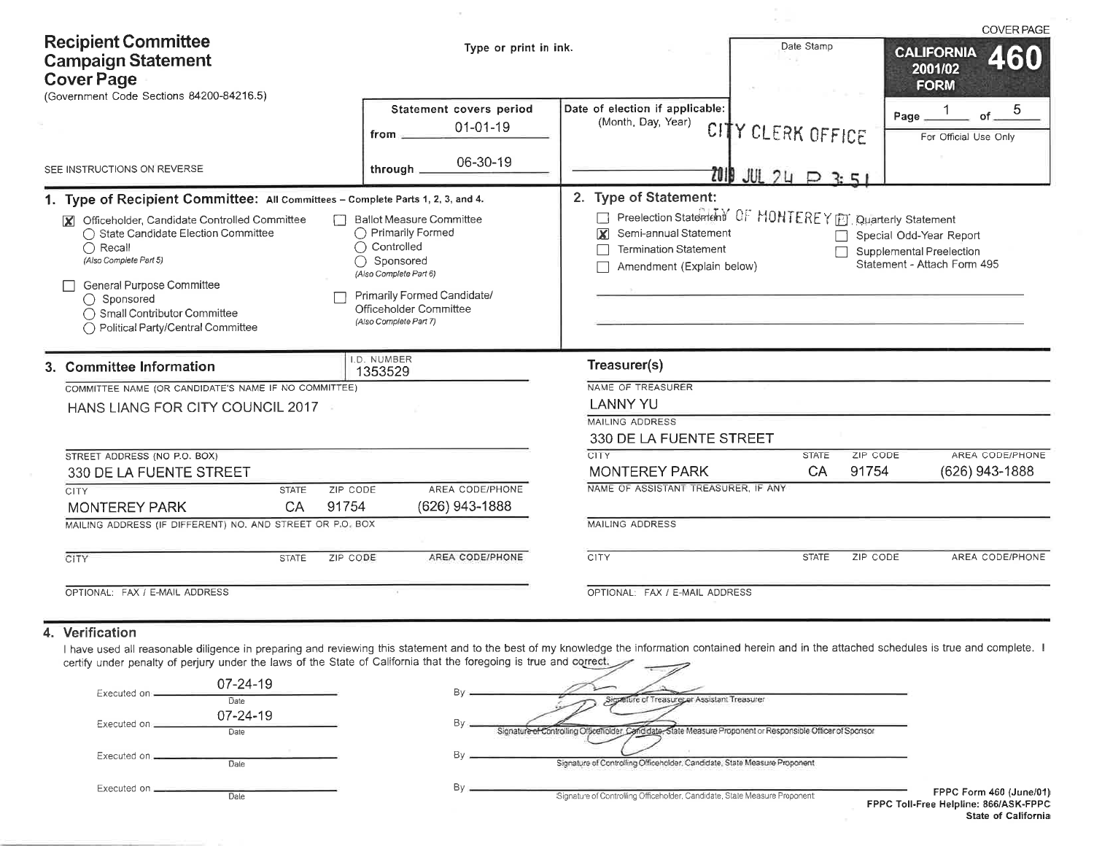| <b>Recipient Committee</b><br><b>Campaign Statement</b><br><b>Cover Page</b><br>(Government Code Sections 84200-84216.5)                                                                                                                                                                                                                                                                                                                                                              | Type or print in ink.                                                                                                                                                                                                             |                                                                                                                                                                                                                                                                                                                                      | <b>COVER PAGE</b><br>Date Stamp<br><b>CALIFORNIA</b><br>2001/02<br><b>FORM</b> |                                                        |  |  |
|---------------------------------------------------------------------------------------------------------------------------------------------------------------------------------------------------------------------------------------------------------------------------------------------------------------------------------------------------------------------------------------------------------------------------------------------------------------------------------------|-----------------------------------------------------------------------------------------------------------------------------------------------------------------------------------------------------------------------------------|--------------------------------------------------------------------------------------------------------------------------------------------------------------------------------------------------------------------------------------------------------------------------------------------------------------------------------------|--------------------------------------------------------------------------------|--------------------------------------------------------|--|--|
|                                                                                                                                                                                                                                                                                                                                                                                                                                                                                       | Statement covers period<br>$01 - 01 - 19$<br>from                                                                                                                                                                                 | Date of election if applicable:<br>(Month, Day, Year)                                                                                                                                                                                                                                                                                | CITY CLERK OFFICE                                                              | 5<br>of<br>Page<br>For Official Use Only               |  |  |
| SEE INSTRUCTIONS ON REVERSE                                                                                                                                                                                                                                                                                                                                                                                                                                                           | 06-30-19<br>through.                                                                                                                                                                                                              |                                                                                                                                                                                                                                                                                                                                      | $7019$ JUL 24 $\Box$ 3:51                                                      |                                                        |  |  |
| 1. Type of Recipient Committee: All Committees - Complete Parts 1, 2, 3, and 4.<br>Officeholder, Candidate Controlled Committee<br><b>X</b><br>◯ State Candidate Election Committee<br>$\bigcap$ Recall<br>(Also Complete Part 5)<br>General Purpose Committee<br>$\bigcap$ Sponsored<br>◯ Small Contributor Committee<br>◯ Political Party/Central Committee<br>3. Committee Information<br>COMMITTEE NAME (OR CANDIDATE'S NAME IF NO COMMITTEE)<br>HANS LIANG FOR CITY COUNCIL 2017 | <b>Ballot Measure Committee</b><br>◯ Primarily Formed<br>$\bigcap$ Controlled<br>Sponsored<br>(Also Complete Part 6)<br>Primarily Formed Candidate/<br>Officeholder Committee<br>(Also Complete Part 7)<br>I.D. NUMBER<br>1353529 | 2. Type of Statement:<br>Preelection Statement OF MONTEREY ET Quarterly Statement<br>Semi-annual Statement<br>$\mathbf x$<br>Special Odd-Year Report<br><b>Termination Statement</b><br>Supplemental Preelection<br>Statement - Attach Form 495<br>Amendment (Explain below)<br>Treasurer(s)<br>NAME OF TREASURER<br><b>LANNY YU</b> |                                                                                |                                                        |  |  |
| STREET ADDRESS (NO P.O. BOX)<br>330 DE LA FUENTE STREET<br>CITY<br>ZIP CODE<br><b>STATE</b><br>91754<br>CA<br><b>MONTEREY PARK</b>                                                                                                                                                                                                                                                                                                                                                    | AREA CODE/PHONE<br>(626) 943-1888                                                                                                                                                                                                 | 330 DE LA FUENTE STREET<br><b>CITY</b><br><b>MONTEREY PARK</b><br>NAME OF ASSISTANT TREASURER, IF ANY                                                                                                                                                                                                                                | <b>STATE</b><br>CA                                                             | ZIP CODE<br>AREA CODE/PHONE<br>91754<br>(626) 943-1888 |  |  |
| MAILING ADDRESS (IF DIFFERENT) NO. AND STREET OR P.O. BOX                                                                                                                                                                                                                                                                                                                                                                                                                             |                                                                                                                                                                                                                                   | <b>MAILING ADDRESS</b>                                                                                                                                                                                                                                                                                                               |                                                                                |                                                        |  |  |
| <b>CITY</b><br><b>STATE</b><br>ZIP CODE                                                                                                                                                                                                                                                                                                                                                                                                                                               | AREA CODE/PHONE                                                                                                                                                                                                                   | CITY                                                                                                                                                                                                                                                                                                                                 | <b>STATE</b>                                                                   | AREA CODE/PHONE<br>ZIP CODE                            |  |  |
| OPTIONAL: FAX / E-MAIL ADDRESS                                                                                                                                                                                                                                                                                                                                                                                                                                                        |                                                                                                                                                                                                                                   | OPTIONAL: FAX / E-MAIL ADDRESS                                                                                                                                                                                                                                                                                                       |                                                                                |                                                        |  |  |

 $\tau$ 

# 4. Verification

I have used all reasonable diligence in preparing and reviewing this statement and to the best of my knowledge the information contained herein and in the attached schedules is true and complete. I certify under penalty of

| $07 - 24 - 19$<br>Executed on<br>Date | Signature of Treasurer at Assistant Treasurer                                                                                    |
|---------------------------------------|----------------------------------------------------------------------------------------------------------------------------------|
| $07 - 24 - 19$<br>Executed on<br>Date | Signature of Controlling Officeholder, Candidate, State Measure Proponent or Responsible Officer of Sponsor                      |
| Executed on .<br>Dale                 | Signature of Controlling Officeholder, Candidate, State Measure Proponent                                                        |
| Executed on _<br>Dale                 | FPPC Form 46<br>Signature of Controlling Officeholder, Candidate, State Measure Proponent<br><b>FPPC Toll-Free Helpline: 866</b> |

60 (June/01) **MASK-FPPC** State of California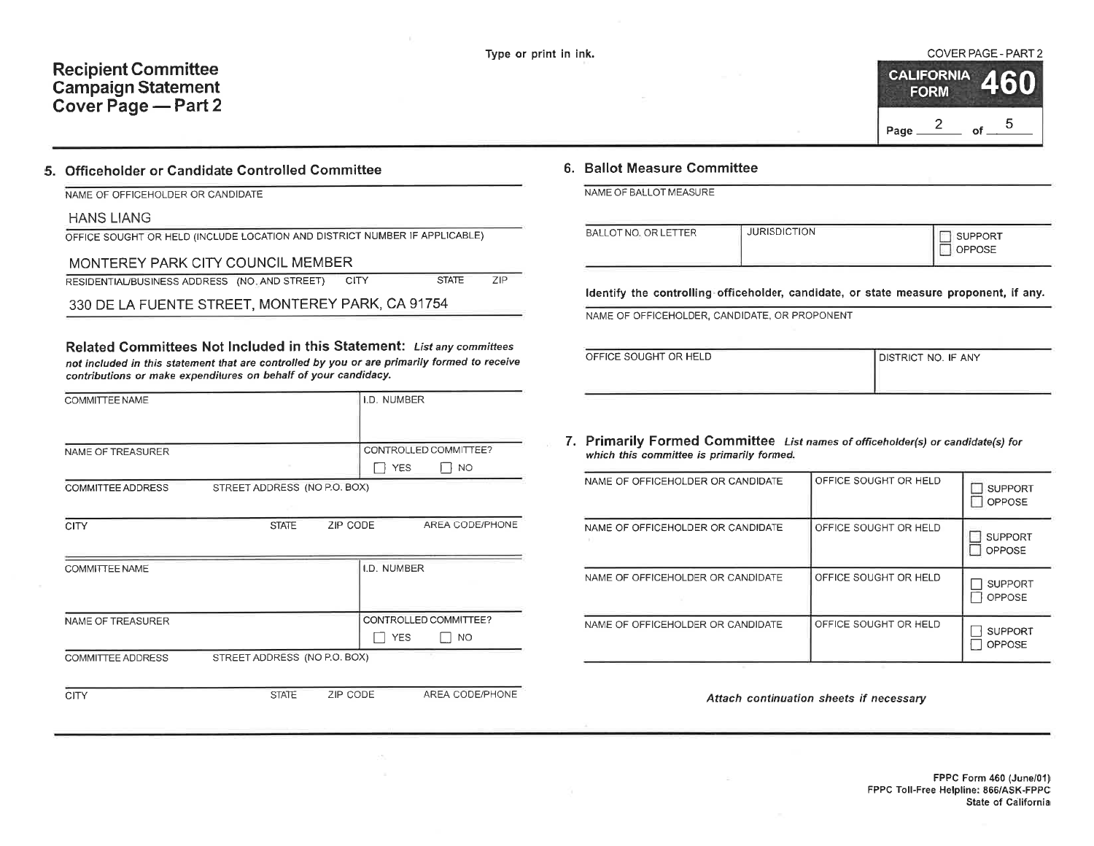#### Type or print in ink. COVER PAGE. PART 2

|      | <b>CALIFORNIA</b><br><b>FORM</b> |    | 460 |
|------|----------------------------------|----|-----|
| Page |                                  | nf | 5   |

### 5. Officeholder or Candidate Controlled Gommittee

| NAME OF OFFICEHOLDER OR CANDIDATE |
|-----------------------------------|
|-----------------------------------|

HANS LIANG

OFFICE SOUGHT OR HËLD (INCLUDE LOCATION AND DISTRICT NUMBER IF APPLICABLE)

## MONTEREY PARK CITY COUNCIL MEMBER

RESIDENTIAL/BUSINESS ADDRESS (NO. AND STREET) CITY STATE zlP

330 DE LA FUENTE STREET, MONTEREY PARK, CA 91754

Related Committees Not lncluded in this Statement: Lístanycommiftees not included in this statement that are controlled by you or are primarily formed to receive contributions or make expendilures on behalf of your candidacy.

| COMMITTEE NAME           |                              |          | I.D. NUMBER |                       |
|--------------------------|------------------------------|----------|-------------|-----------------------|
|                          |                              |          |             |                       |
| NAME OF TREASURER        |                              |          |             | CONTROLLED COMMITTEE? |
|                          |                              |          | <b>YES</b>  | NO.                   |
| <b>COMMITTEE ADDRESS</b> | STREET ADDRESS (NO P.O. BOX) |          |             |                       |
|                          |                              |          |             |                       |
| <b>CITY</b>              | <b>STATE</b>                 | ZIP CODE |             | AREA CODE/PHONE       |
|                          |                              |          |             |                       |
| COMMITTEE NAME           |                              |          | I.D. NUMBER |                       |
|                          |                              |          |             |                       |
|                          |                              |          |             |                       |
| NAME OF TREASURER        |                              |          |             | CONTROLLED COMMITTEE? |
|                          |                              |          | <b>YES</b>  | NO.                   |
| COMMITTEE ADDRESS        | STREET ADDRESS (NO P.O. BOX) |          |             |                       |
|                          |                              |          |             |                       |

CITY STATE ZIP CODE AREA CODE/PHONE

## 6. Ballot Measure Committee

NAME OF BALLOT MEASURE

| BALLOT NO. OR LETTER | <b>JURISDICTION</b> | <b>SUPPORT</b><br><b>OPPOSE</b> |
|----------------------|---------------------|---------------------------------|
|                      |                     |                                 |

ldentify the controlling officeholder, candidate, or state measure proponent, if any.

NAME OF OFFICEHOLDER, CANDIDATE, OR PROPONENT

| OFFICE SOUGHT OR HELD | <b>DISTRICT NO. IF ANY</b> |
|-----------------------|----------------------------|
|                       |                            |

### 7. Primarily Formed Committee List names of officehotder(s) or candidate(s) for which this committee is primarily formed.

| NAME OF OFFICEHOLDER OR CANDIDATE | OFFICE SOUGHT OR HELD | <b>SUPPORT</b><br><b>OPPOSE</b> |
|-----------------------------------|-----------------------|---------------------------------|
| NAME OF OFFICEHOLDER OR CANDIDATE | OFFICE SOUGHT OR HELD | <b>SUPPORT</b><br>OPPOSE        |
| NAME OF OFFICEHOLDER OR CANDIDATE | OFFICE SOUGHT OR HELD | <b>SUPPORT</b><br><b>OPPOSE</b> |
| NAME OF OFFICEHOLDER OR CANDIDATE | OFFICE SOUGHT OR HELD | <b>SUPPORT</b><br><b>OPPOSE</b> |

Attach continuation sheets if necessary

FPPC Form 460 (June/01) FPPC Toll-Free Helpline: 866/A5K-FPPC State of Câlifornia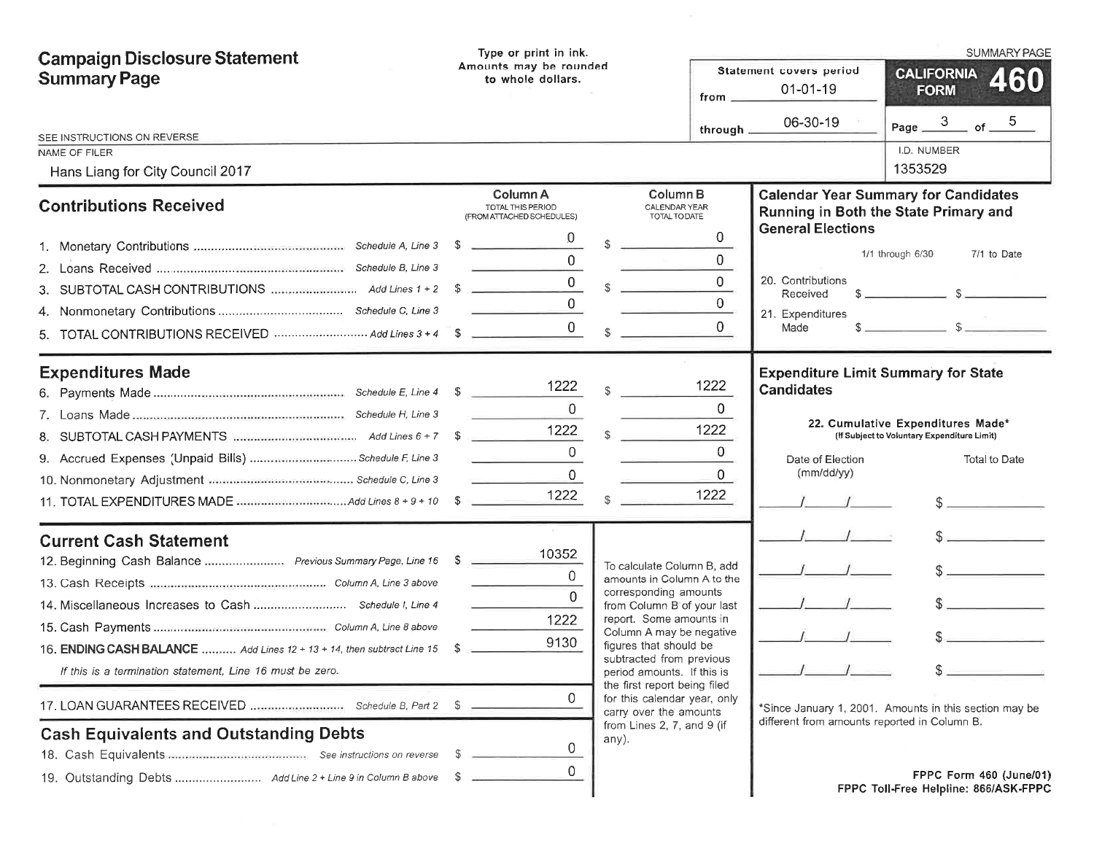| <b>Campaign Disclosure Statement</b>                                                                                                                                                                                                                                                      | Type or print in ink.                                                                                                |                                                                                                                                                                                                                                                                                                                                                                                             |                                                                                |                                                                                                   | <b>SUMMARY PAGE</b>                                                                                    |
|-------------------------------------------------------------------------------------------------------------------------------------------------------------------------------------------------------------------------------------------------------------------------------------------|----------------------------------------------------------------------------------------------------------------------|---------------------------------------------------------------------------------------------------------------------------------------------------------------------------------------------------------------------------------------------------------------------------------------------------------------------------------------------------------------------------------------------|--------------------------------------------------------------------------------|---------------------------------------------------------------------------------------------------|--------------------------------------------------------------------------------------------------------|
| <b>Summary Page</b>                                                                                                                                                                                                                                                                       | Amounts may be rounded<br>to whole dollars.<br>$from -$                                                              |                                                                                                                                                                                                                                                                                                                                                                                             |                                                                                | Statement covers period<br>$01 - 01 - 19$                                                         | <b>CALIFORNIA</b><br><b>460</b><br><b>FORM</b>                                                         |
| SEE INSTRUCTIONS ON REVERSE<br>NAME OF FILER                                                                                                                                                                                                                                              |                                                                                                                      |                                                                                                                                                                                                                                                                                                                                                                                             | through $\equiv$                                                               | 06-30-19                                                                                          | Page $3$ of $5$<br>I.D. NUMBER                                                                         |
| Hans Liang for City Council 2017                                                                                                                                                                                                                                                          |                                                                                                                      |                                                                                                                                                                                                                                                                                                                                                                                             |                                                                                |                                                                                                   | 1353529                                                                                                |
| <b>Contributions Received</b>                                                                                                                                                                                                                                                             | Column A<br>TOTAL THIS PERIOD<br>(FROM ATTACHED SCHEDULES)                                                           | <b>Column B</b><br>CALENDAR YEAR<br>TOTAL TO DATE                                                                                                                                                                                                                                                                                                                                           |                                                                                |                                                                                                   | <b>Calendar Year Summary for Candidates</b><br>Running in Both the State Primary and                   |
| TOTAL CONTRIBUTIONS RECEIVED  Add Lines 3 + 4 5<br>5.                                                                                                                                                                                                                                     | $\sim$<br>and the control of the control of the<br>$\overline{0}$<br>the contract of the contract of the contract of | $\mathbb{S}$                                                                                                                                                                                                                                                                                                                                                                                | $\overline{0}$<br>$\Omega$<br>$\overline{0}$<br>$\overline{0}$<br>$\mathbf{0}$ | <b>General Elections</b><br>20. Contributions<br>Received<br>21. Expenditures<br>Made             | 1/1 through 6/30<br>7/1 to Date                                                                        |
| <b>Expenditures Made</b>                                                                                                                                                                                                                                                                  | 1222<br>$\Omega$<br>1222<br>$\Omega$<br>$\overline{0}$<br>1222                                                       | $\mathbb{S}$                                                                                                                                                                                                                                                                                                                                                                                | 1222<br>$\overline{0}$<br>1222<br>$\mathbf{0}$<br>$\Omega$<br>1222             | <b>Expenditure Limit Summary for State</b><br><b>Candidates</b><br>Date of Election<br>(mm/dd/yy) | 22. Cumulative Expenditures Made*<br>(If Subject to Voluntary Expenditure Limit)<br>Total to Date<br>s |
| <b>Current Cash Statement</b><br>12. Beginning Cash Balance  Previous Summary Page, Line 16 \$<br>16. ENDING CASH BALANCE  Add Lines 12 + 13 + 14, then subtract Line 15 \$<br>If this is a termination statement. Line 16 must be zero.<br><b>Cash Equivalents and Outstanding Debts</b> | 10352<br>$\Omega$<br>$\Omega$<br>1222<br>9130<br>0<br>0<br>0                                                         | To calculate Column B, add<br>amounts in Column A to the<br>corresponding amounts<br>from Column B of your last<br>report. Some amounts in<br>Column A may be negative<br>figures that should be<br>subtracted from previous<br>period amounts. If this is<br>the first report being filed<br>for this calendar year, only<br>carry over the amounts<br>from Lines 2, 7, and 9 (if<br>any). |                                                                                | different from amounts reported in Column B.                                                      | $\sim$<br>*Since January 1, 2001. Amounts in this section may be<br>FPPC Form 460 (June/01)            |
|                                                                                                                                                                                                                                                                                           |                                                                                                                      |                                                                                                                                                                                                                                                                                                                                                                                             |                                                                                |                                                                                                   | FPPC Toll-Free Helpline: 866/ASK-FPPC                                                                  |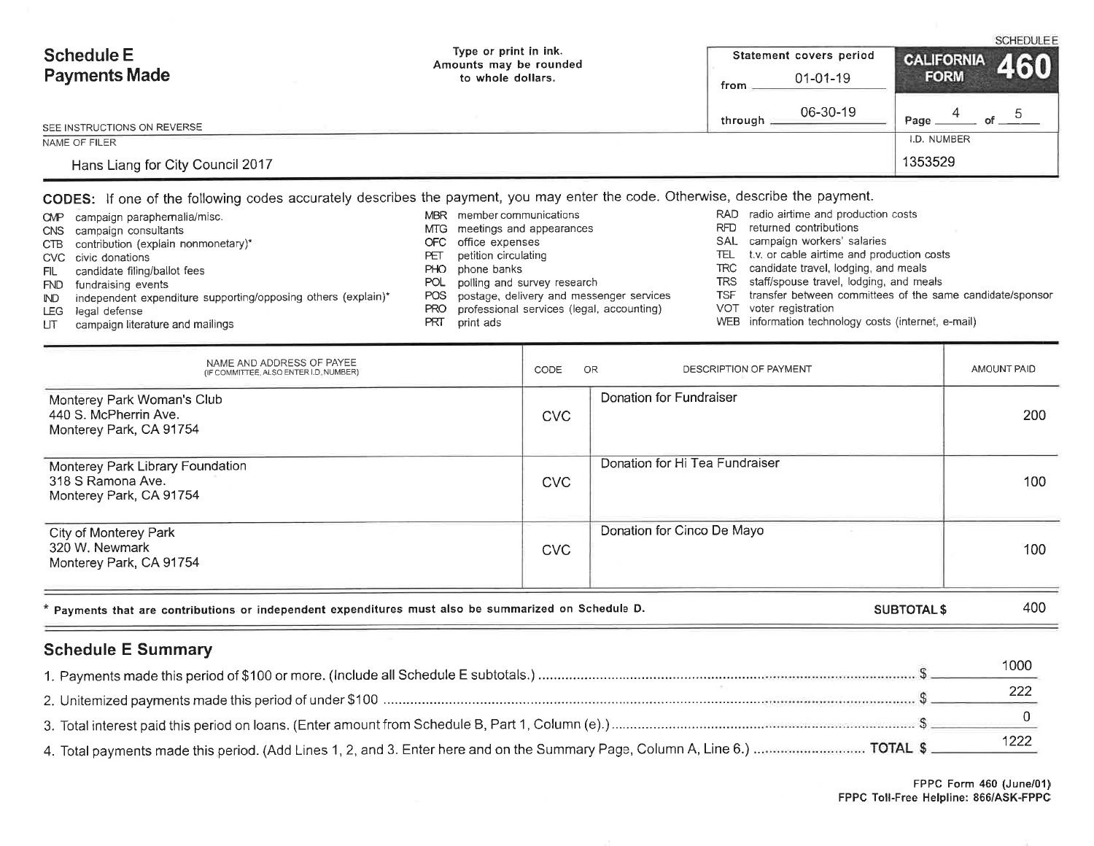| <b>Schedule E</b>                | Type or print in ink.<br>Amounts may be rounded |         | Statement covers period |             | CALIFORNIA 460 |
|----------------------------------|-------------------------------------------------|---------|-------------------------|-------------|----------------|
| <b>Payments Made</b>             | to whole dollars.                               | from.   | $01 - 01 - 19$          | <b>FORM</b> |                |
| SEE INSTRUCTIONS ON REVERSE      |                                                 | through | 06-30-19                | Page        |                |
| NAME OF FILER                    |                                                 |         |                         | I.D. NUMBER |                |
| Hans Liang for City Council 2017 |                                                 |         |                         | 1353529     |                |

CODES: lf one of the following codes accurately describes the payment, you may enter the code. Otherwise, describe the payment.

| CMP        | campaign paraphernalia/misc.                                  |       | MBR member communications                    |      | RAD radio airtime and production costs                        |
|------------|---------------------------------------------------------------|-------|----------------------------------------------|------|---------------------------------------------------------------|
|            | CNS campaign consultants                                      |       | MTG meetings and appearances                 | RFD. | returned contributions                                        |
|            | CTB contribution (explain nonmonetary)*                       | OFC   | office expenses                              |      | SAL campaign workers' salaries                                |
|            | CVC civic donations                                           | ΡÐ    | petition circulating                         |      | TEL t.v. or cable airtime and production costs                |
| FIL        | candidate filing/ballot fees                                  | PHO.  | phone banks                                  |      | TRC candidate travel, lodging, and meals                      |
| <b>FND</b> | fundraising events                                            |       | POL polling and survey research              |      | TRS staff/spouse travel, lodging, and meals                   |
| ND         | independent expenditure supporting/opposing others (explain)* |       | POS postage, delivery and messenger services |      | TSF transfer between committees of the same candidate/sponsor |
| LEG I      | legal defense                                                 | PRO - | professional services (legal, accounting)    |      | VOT voter registration                                        |
| UT.        | campaign literature and mailings                              | PRT   | print ads                                    |      | WEB information technology costs (internet, e-mail)           |

| NAME AND ADDRESS OF PAYEE<br>(IF COMMITTEE, ALSO ENTER I.D. NUMBER)                                  | CODE       | OR<br>DESCRIPTION OF PAYMENT   | AMOUNT PAID |
|------------------------------------------------------------------------------------------------------|------------|--------------------------------|-------------|
| Monterey Park Woman's Club<br>440 S. McPherrin Ave.<br>Monterey Park, CA 91754                       | <b>CVC</b> | Donation for Fundraiser        | 200         |
| Monterey Park Library Foundation<br>318 S Ramona Ave.<br>Monterey Park, CA 91754                     | <b>CVC</b> | Donation for Hi Tea Fundraiser | 100         |
| City of Monterey Park<br>320 W. Newmark<br>Monterey Park, CA 91754                                   | <b>CVC</b> | Donation for Cinco De Mayo     | 100         |
| * Payments that are contributions or independent expenditures must also be summarized on Schedule D. |            | <b>SUBTOTAL \$</b>             | 400         |
| <b>Schedule E Summary</b>                                                                            |            |                                |             |

|           | 1000 |
|-----------|------|
|           |      |
|           |      |
| _________ |      |

فمواصلها المتوافق المتحددة والمتواطئة